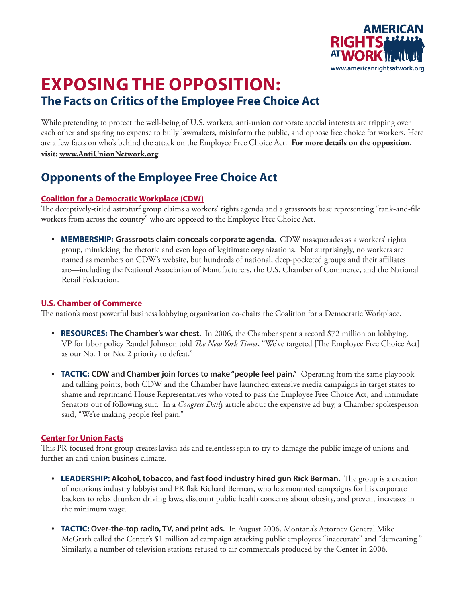

# **Exposing the Opposition: The Facts on Critics of the Employee Free Choice Act**

While pretending to protect the well-being of U.S. workers, anti-union corporate special interests are tripping over each other and sparing no expense to bully lawmakers, misinform the public, and oppose free choice for workers. Here are a few facts on who's behind the attack on the Employee Free Choice Act. **For more details on the opposition, visit: www.AntiUnionNetwork.org**.

## **Opponents of the Employee Free Choice Act**

### **Coalition for a Democratic Workplace (CDW)**

The deceptively-titled astroturf group claims a workers' rights agenda and a grassroots base representing "rank-and-file workers from across the country" who are opposed to the Employee Free Choice Act.

• **MEMBERSHIP: Grassroots claim conceals corporate agenda.** CDW masquerades as a workers' rights group, mimicking the rhetoric and even logo of legitimate organizations. Not surprisingly, no workers are named as members on CDW's website, but hundreds of national, deep-pocketed groups and their affiliates are—including the National Association of Manufacturers, the U.S. Chamber of Commerce, and the National Retail Federation.

### **U.S. Chamber of Commerce**

The nation's most powerful business lobbying organization co-chairs the Coalition for a Democratic Workplace.

- **RESOURCES: The Chamber's war chest.** In 2006, the Chamber spent a record \$72 million on lobbying. VP for labor policy Randel Johnson told *The New York Times*, "We've targeted [The Employee Free Choice Act] as our No. 1 or No. 2 priority to defeat."
- **TACTIC: CDW and Chamber join forces to make "people feel pain."** Operating from the same playbook and talking points, both CDW and the Chamber have launched extensive media campaigns in target states to shame and reprimand House Representatives who voted to pass the Employee Free Choice Act, and intimidate Senators out of following suit. In a *Congress Daily* article about the expensive ad buy, a Chamber spokesperson said, "We're making people feel pain."

### **Center for Union Facts**

This PR-focused front group creates lavish ads and relentless spin to try to damage the public image of unions and further an anti-union business climate.

- **LEADERSHIP: Alcohol, tobacco, and fast food industry hired gun Rick Berman.** The group is a creation of notorious industry lobbyist and PR flak Richard Berman, who has mounted campaigns for his corporate backers to relax drunken driving laws, discount public health concerns about obesity, and prevent increases in the minimum wage.
- **TACTIC: Over-the-top radio, TV, and print ads.** In August 2006, Montana's Attorney General Mike McGrath called the Center's \$1 million ad campaign attacking public employees "inaccurate" and "demeaning." Similarly, a number of television stations refused to air commercials produced by the Center in 2006.